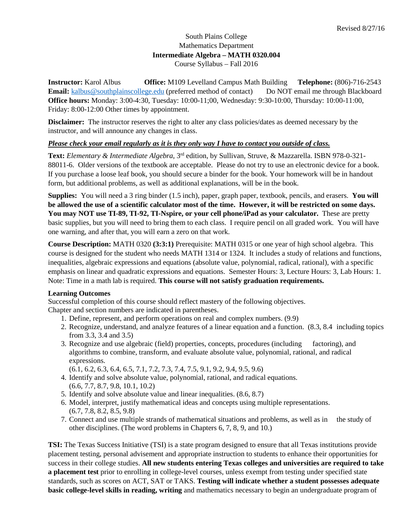## South Plains College Mathematics Department **Intermediate Algebra – MATH 0320.004** Course Syllabus – Fall 2016

**Instructor:** Karol Albus **Office:** M109 Levelland Campus Math Building **Telephone:** (806)-716-2543 **Email:** [kalbus@southplainscollege.edu](mailto:kalbus@southplainscollege.edu) (preferred method of contact) Do NOT email me through Blackboard **Office hours:** Monday: 3:00-4:30, Tuesday: 10:00-11;00, Wednesday: 9:30-10:00, Thursday: 10:00-11:00, Friday: 8:00-12:00 Other times by appointment.

**Disclaimer:** The instructor reserves the right to alter any class policies/dates as deemed necessary by the instructor, and will announce any changes in class.

## *Please check your email regularly as it is they only way I have to contact you outside of class.*

**Text:** *Elementary & Intermediate Algebra*, 3rd edition, by Sullivan, Struve, & Mazzarella. ISBN 978-0-321- 88011-6. Older versions of the textbook are acceptable. Please do not try to use an electronic device for a book. If you purchase a loose leaf book, you should secure a binder for the book. Your homework will be in handout form, but additional problems, as well as additional explanations, will be in the book.

**Supplies:** You will need a 3 ring binder (1.5 inch), paper, graph paper, textbook, pencils, and erasers. **You will be allowed the use of a scientific calculator most of the time. However, it will be restricted on some days. You may NOT use TI-89, TI-92, TI-Nspire, or your cell phone/iPad as your calculator.** These are pretty basic supplies, but you will need to bring them to each class. I require pencil on all graded work. You will have one warning, and after that, you will earn a zero on that work.

**Course Description:** MATH 0320 **(3:3:1)** Prerequisite: MATH 0315 or one year of high school algebra. This course is designed for the student who needs MATH 1314 or 1324. It includes a study of relations and functions, inequalities, algebraic expressions and equations (absolute value, polynomial, radical, rational), with a specific emphasis on linear and quadratic expressions and equations. Semester Hours: 3, Lecture Hours: 3, Lab Hours: 1. Note: Time in a math lab is required. **This course will not satisfy graduation requirements.**

#### **Learning Outcomes**

Successful completion of this course should reflect mastery of the following objectives. Chapter and section numbers are indicated in parentheses.

- 1. Define, represent, and perform operations on real and complex numbers. (9.9)
- 2. Recognize, understand, and analyze features of a linear equation and a function. (8.3, 8.4 including topics from 3.3, 3.4 and 3.5)
- 3. Recognize and use algebraic (field) properties, concepts, procedures (including factoring), and algorithms to combine, transform, and evaluate absolute value, polynomial, rational, and radical expressions.
	- (6.1, 6.2, 6.3, 6.4, 6.5, 7.1, 7.2, 7.3, 7.4, 7.5, 9.1, 9.2, 9.4, 9.5, 9.6)
- 4. Identify and solve absolute value, polynomial, rational, and radical equations. (6.6, 7.7, 8.7, 9.8, 10.1, 10.2)
- 5. Identify and solve absolute value and linear inequalities. (8.6, 8.7)
- 6. Model, interpret, justify mathematical ideas and concepts using multiple representations. (6.7, 7.8, 8.2, 8.5, 9.8)
- 7. Connect and use multiple strands of mathematical situations and problems, as well as in the study of other disciplines. (The word problems in Chapters 6, 7, 8, 9, and 10.)

**TSI:** The Texas Success Initiative (TSI) is a state program designed to ensure that all Texas institutions provide placement testing, personal advisement and appropriate instruction to students to enhance their opportunities for success in their college studies. **All new students entering Texas colleges and universities are required to take a placement test** prior to enrolling in college-level courses, unless exempt from testing under specified state standards, such as scores on ACT, SAT or TAKS. **Testing will indicate whether a student possesses adequate basic college-level skills in reading, writing** and mathematics necessary to begin an undergraduate program of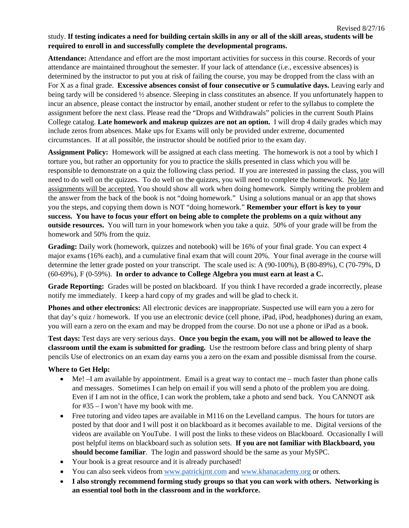# study. **If testing indicates a need for building certain skills in any or all of the skill areas, students will be required to enroll in and successfully complete the developmental programs.**

**Attendance:** Attendance and effort are the most important activities for success in this course. Records of your attendance are maintained throughout the semester. If your lack of attendance (i.e., excessive absences) is determined by the instructor to put you at risk of failing the course, you may be dropped from the class with an For X as a final grade. **Excessive absences consist of four consecutive or 5 cumulative days.** Leaving early and being tardy will be considered ½ absence. Sleeping in class constitutes an absence. If you unfortunately happen to incur an absence, please contact the instructor by email, another student or refer to the syllabus to complete the assignment before the next class. Please read the "Drops and Withdrawals" policies in the current South Plains College catalog. **Late homework and makeup quizzes are not an option.** I will drop 4 daily grades which may include zeros from absences. Make ups for Exams will only be provided under extreme, documented circumstances. If at all possible, the instructor should be notified prior to the exam day.

**Assignment Policy:** Homework will be assigned at each class meeting. The homework is not a tool by which I torture you, but rather an opportunity for you to practice the skills presented in class which you will be responsible to demonstrate on a quiz the following class period. If you are interested in passing the class, you will need to do well on the quizzes. To do well on the quizzes, you will need to complete the homework. No late assignments will be accepted. You should show all work when doing homework. Simply writing the problem and the answer from the back of the book is not "doing homework." Using a solutions manual or an app that shows you the steps, and copying them down is NOT "doing homework." **Remember your effort is key to your success. You have to focus your effort on being able to complete the problems on a quiz without any outside resources.** You will turn in your homework when you take a quiz. 50% of your grade will be from the homework and 50% from the quiz.

**Grading:** Daily work (homework, quizzes and notebook) will be 16% of your final grade. You can expect 4 major exams (16% each), and a cumulative final exam that will count 20%. Your final average in the course will determine the letter grade posted on your transcript. The scale used is: A (90-100%), B (80-89%), C (70-79%, D (60-69%), F (0-59%). **In order to advance to College Algebra you must earn at least a C.**

**Grade Reporting:** Grades will be posted on blackboard. If you think I have recorded a grade incorrectly, please notify me immediately. I keep a hard copy of my grades and will be glad to check it.

**Phones and other electronics:** All electronic devices are inappropriate. Suspected use will earn you a zero for that day's quiz / homework. If you use an electronic device (cell phone, iPad, iPod, headphones) during an exam, you will earn a zero on the exam and may be dropped from the course. Do not use a phone or iPad as a book.

**Test days:** Test days are very serious days. **Once you begin the exam, you will not be allowed to leave the classroom until the exam is submitted for grading.** Use the restroom before class and bring plenty of sharp pencils Use of electronics on an exam day earns you a zero on the exam and possible dismissal from the course.

## **Where to Get Help:**

- Me! –I am available by appointment. Email is a great way to contact me much faster than phone calls and messages. Sometimes I can help on email if you will send a photo of the problem you are doing. Even if I am not in the office, I can work the problem, take a photo and send back. You CANNOT ask for #35 – I won't have my book with me.
- Free tutoring and video tapes are available in M116 on the Levelland campus. The hours for tutors are posted by that door and I will post it on blackboard as it becomes available to me. Digital versions of the videos are available on YouTube. I will post the links to these videos on Blackboard. Occasionally I will post helpful items on blackboard such as solution sets. **If you are not familiar with Blackboard, you should become familiar**. The login and password should be the same as your MySPC.
- Your book is a great resource and it is already purchased!
- You can also seek videos from [www.patrickjmt.com](http://www.patrickjmt.com/) and [www.khanacademy.org](http://www.khanacademy.org/) or others.
- **I also strongly recommend forming study groups so that you can work with others. Networking is an essential tool both in the classroom and in the workforce.**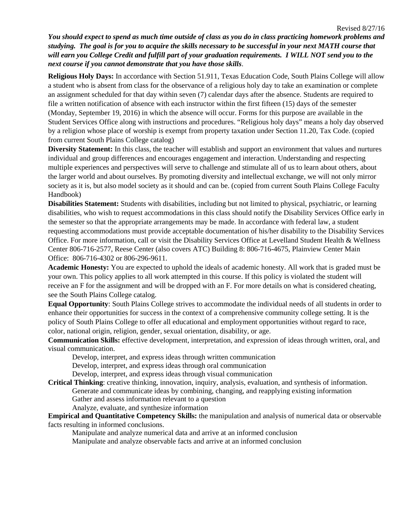*You should expect to spend as much time outside of class as you do in class practicing homework problems and studying. The goal is for you to acquire the skills necessary to be successful in your next MATH course that will earn you College Credit and fulfill part of your graduation requirements. I WILL NOT send you to the next course if you cannot demonstrate that you have those skills*.

**Religious Holy Days:** In accordance with Section 51.911, Texas Education Code, South Plains College will allow a student who is absent from class for the observance of a religious holy day to take an examination or complete an assignment scheduled for that day within seven (7) calendar days after the absence. Students are required to file a written notification of absence with each instructor within the first fifteen (15) days of the semester (Monday, September 19, 2016) in which the absence will occur. Forms for this purpose are available in the Student Services Office along with instructions and procedures. "Religious holy days" means a holy day observed by a religion whose place of worship is exempt from property taxation under Section 11.20, Tax Code. (copied from current South Plains College catalog)

**Diversity Statement:** In this class, the teacher will establish and support an environment that values and nurtures individual and group differences and encourages engagement and interaction. Understanding and respecting multiple experiences and perspectives will serve to challenge and stimulate all of us to learn about others, about the larger world and about ourselves. By promoting diversity and intellectual exchange, we will not only mirror society as it is, but also model society as it should and can be. (copied from current South Plains College Faculty Handbook)

**Disabilities Statement:** Students with disabilities, including but not limited to physical, psychiatric, or learning disabilities, who wish to request accommodations in this class should notify the Disability Services Office early in the semester so that the appropriate arrangements may be made. In accordance with federal law, a student requesting accommodations must provide acceptable documentation of his/her disability to the Disability Services Office. For more information, call or visit the Disability Services Office at Levelland Student Health & Wellness Center 806-716-2577, Reese Center (also covers ATC) Building 8: 806-716-4675, Plainview Center Main Office: 806-716-4302 or 806-296-9611.

**Academic Honesty:** You are expected to uphold the ideals of academic honesty. All work that is graded must be your own. This policy applies to all work attempted in this course. If this policy is violated the student will receive an F for the assignment and will be dropped with an F. For more details on what is considered cheating, see the South Plains College catalog.

**Equal Opportunity**: South Plains College strives to accommodate the individual needs of all students in order to enhance their opportunities for success in the context of a comprehensive community college setting. It is the policy of South Plains College to offer all educational and employment opportunities without regard to race, color, national origin, religion, gender, sexual orientation, disability, or age.

**Communication Skills:** effective development, interpretation, and expression of ideas through written, oral, and visual communication.

Develop, interpret, and express ideas through written communication

Develop, interpret, and express ideas through oral communication

Develop, interpret, and express ideas through visual communication

**Critical Thinking**: creative thinking, innovation, inquiry, analysis, evaluation, and synthesis of information. Generate and communicate ideas by combining, changing, and reapplying existing information Gather and assess information relevant to a question

Analyze, evaluate, and synthesize information

**Empirical and Quantitative Competency Skills:** the manipulation and analysis of numerical data or observable facts resulting in informed conclusions.

Manipulate and analyze numerical data and arrive at an informed conclusion Manipulate and analyze observable facts and arrive at an informed conclusion